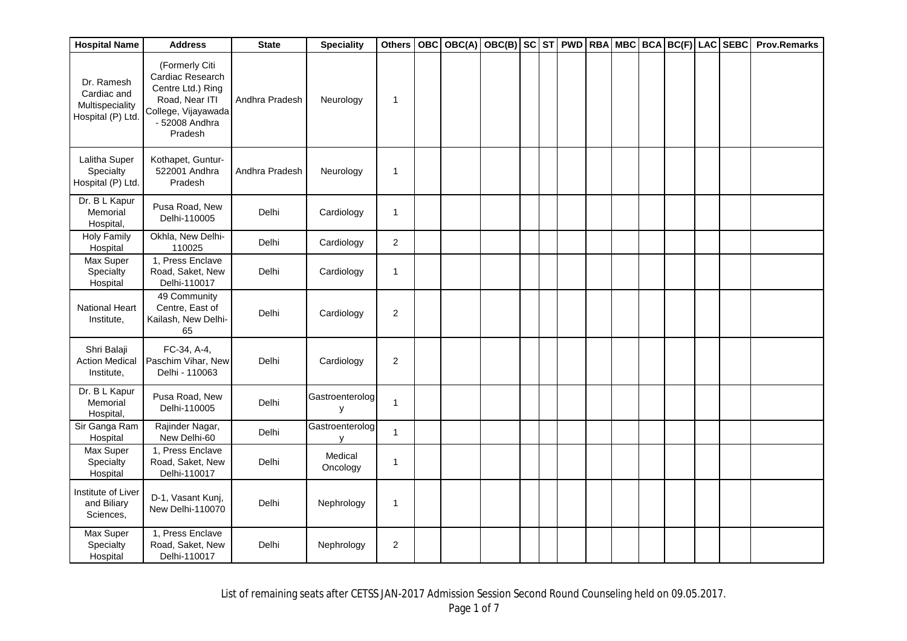| <b>Hospital Name</b>                                              | <b>Address</b>                                                                                                                | <b>State</b>   | <b>Speciality</b>           | <b>Others</b> |  | OBC OBC(A) OBC(B) SC ST PWD RBA MBC BCA BC(F) LAC SEBC |  |  |  |  | <b>Prov.Remarks</b> |
|-------------------------------------------------------------------|-------------------------------------------------------------------------------------------------------------------------------|----------------|-----------------------------|---------------|--|--------------------------------------------------------|--|--|--|--|---------------------|
| Dr. Ramesh<br>Cardiac and<br>Multispeciality<br>Hospital (P) Ltd. | (Formerly Citi<br>Cardiac Research<br>Centre Ltd.) Ring<br>Road, Near ITI<br>College, Vijayawada<br>- 52008 Andhra<br>Pradesh | Andhra Pradesh | Neurology                   | $\mathbf{1}$  |  |                                                        |  |  |  |  |                     |
| Lalitha Super<br>Specialty<br>Hospital (P) Ltd.                   | Kothapet, Guntur-<br>522001 Andhra<br>Pradesh                                                                                 | Andhra Pradesh | Neurology                   | $\mathbf{1}$  |  |                                                        |  |  |  |  |                     |
| Dr. B L Kapur<br>Memorial<br>Hospital,                            | Pusa Road, New<br>Delhi-110005                                                                                                | Delhi          | Cardiology                  | $\mathbf{1}$  |  |                                                        |  |  |  |  |                     |
| <b>Holy Family</b><br>Hospital                                    | Okhla, New Delhi-<br>110025                                                                                                   | Delhi          | Cardiology                  | $\sqrt{2}$    |  |                                                        |  |  |  |  |                     |
| Max Super<br>Specialty<br>Hospital                                | 1, Press Enclave<br>Road, Saket, New<br>Delhi-110017                                                                          | Delhi          | Cardiology                  | $\mathbf{1}$  |  |                                                        |  |  |  |  |                     |
| <b>National Heart</b><br>Institute,                               | 49 Community<br>Centre, East of<br>Kailash, New Delhi-<br>65                                                                  | Delhi          | Cardiology                  | $\sqrt{2}$    |  |                                                        |  |  |  |  |                     |
| Shri Balaji<br><b>Action Medical</b><br>Institute,                | FC-34, A-4,<br>Paschim Vihar, New<br>Delhi - 110063                                                                           | Delhi          | Cardiology                  | $\sqrt{2}$    |  |                                                        |  |  |  |  |                     |
| Dr. B L Kapur<br>Memorial<br>Hospital,                            | Pusa Road, New<br>Delhi-110005                                                                                                | Delhi          | Gastroenterolog<br><b>y</b> | $\mathbf{1}$  |  |                                                        |  |  |  |  |                     |
| Sir Ganga Ram<br>Hospital                                         | Rajinder Nagar,<br>New Delhi-60                                                                                               | Delhi          | Gastroenterolog<br>v        | $\mathbf{1}$  |  |                                                        |  |  |  |  |                     |
| Max Super<br>Specialty<br>Hospital                                | 1, Press Enclave<br>Road, Saket, New<br>Delhi-110017                                                                          | Delhi          | Medical<br>Oncology         | $\mathbf{1}$  |  |                                                        |  |  |  |  |                     |
| Institute of Liver<br>and Biliary<br>Sciences,                    | D-1, Vasant Kunj,<br>New Delhi-110070                                                                                         | Delhi          | Nephrology                  | $\mathbf{1}$  |  |                                                        |  |  |  |  |                     |
| Max Super<br>Specialty<br>Hospital                                | 1, Press Enclave<br>Road, Saket, New<br>Delhi-110017                                                                          | Delhi          | Nephrology                  | $\sqrt{2}$    |  |                                                        |  |  |  |  |                     |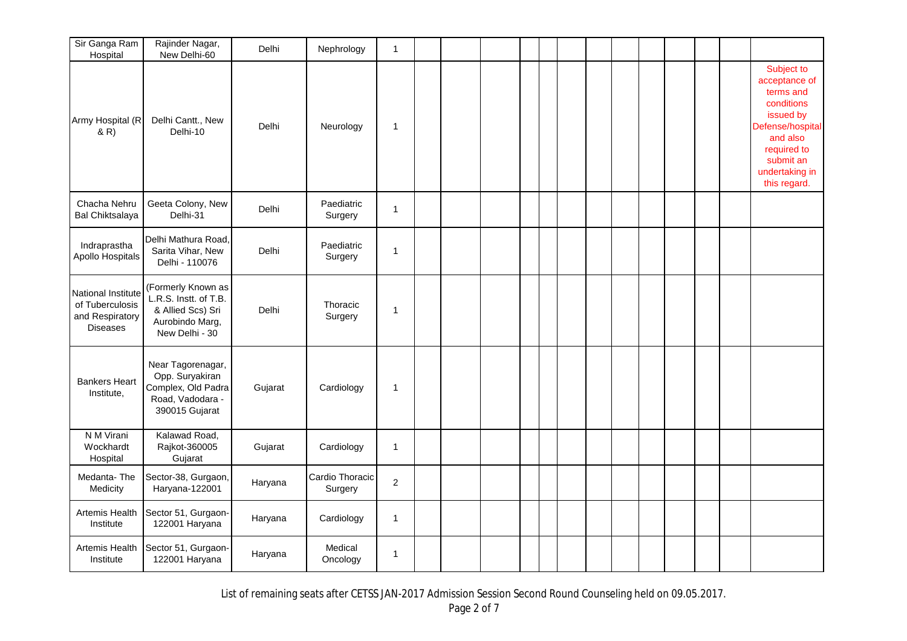| Sir Ganga Ram<br>Hospital                                                   | Rajinder Nagar,<br>New Delhi-60                                                                       | <b>Delhi</b> | Nephrology                 | $\mathbf{1}$ |  |  |  |  |  |  |                                                                                                                                                                   |
|-----------------------------------------------------------------------------|-------------------------------------------------------------------------------------------------------|--------------|----------------------------|--------------|--|--|--|--|--|--|-------------------------------------------------------------------------------------------------------------------------------------------------------------------|
| Army Hospital (R<br>& R)                                                    | Delhi Cantt., New<br>Delhi-10                                                                         | Delhi        | Neurology                  | $\mathbf{1}$ |  |  |  |  |  |  | Subject to<br>acceptance of<br>terms and<br>conditions<br>issued by<br>Defense/hospital<br>and also<br>required to<br>submit an<br>undertaking in<br>this regard. |
| Chacha Nehru<br><b>Bal Chiktsalaya</b>                                      | Geeta Colony, New<br>Delhi-31                                                                         | Delhi        | Paediatric<br>Surgery      | $\mathbf{1}$ |  |  |  |  |  |  |                                                                                                                                                                   |
| Indraprastha<br>Apollo Hospitals                                            | Delhi Mathura Road,<br>Sarita Vihar, New<br>Delhi - 110076                                            | Delhi        | Paediatric<br>Surgery      | $\mathbf 1$  |  |  |  |  |  |  |                                                                                                                                                                   |
| National Institute<br>of Tuberculosis<br>and Respiratory<br><b>Diseases</b> | (Formerly Known as<br>L.R.S. Instt. of T.B.<br>& Allied Scs) Sri<br>Aurobindo Marg,<br>New Delhi - 30 | Delhi        | Thoracic<br>Surgery        | 1            |  |  |  |  |  |  |                                                                                                                                                                   |
| <b>Bankers Heart</b><br>Institute,                                          | Near Tagorenagar,<br>Opp. Suryakiran<br>Complex, Old Padra<br>Road, Vadodara -<br>390015 Gujarat      | Gujarat      | Cardiology                 | $\mathbf{1}$ |  |  |  |  |  |  |                                                                                                                                                                   |
| N M Virani<br>Wockhardt<br>Hospital                                         | Kalawad Road,<br>Rajkot-360005<br>Gujarat                                                             | Gujarat      | Cardiology                 | $\mathbf{1}$ |  |  |  |  |  |  |                                                                                                                                                                   |
| Medanta-The<br>Medicity                                                     | Sector-38, Gurgaon,<br>Haryana-122001                                                                 | Haryana      | Cardio Thoracic<br>Surgery | $\mathbf{2}$ |  |  |  |  |  |  |                                                                                                                                                                   |
| Artemis Health<br>Institute                                                 | Sector 51, Gurgaon-<br>122001 Haryana                                                                 | Haryana      | Cardiology                 | $\mathbf{1}$ |  |  |  |  |  |  |                                                                                                                                                                   |
| Artemis Health<br>Institute                                                 | Sector 51, Gurgaon-<br>122001 Haryana                                                                 | Haryana      | Medical<br>Oncology        | 1            |  |  |  |  |  |  |                                                                                                                                                                   |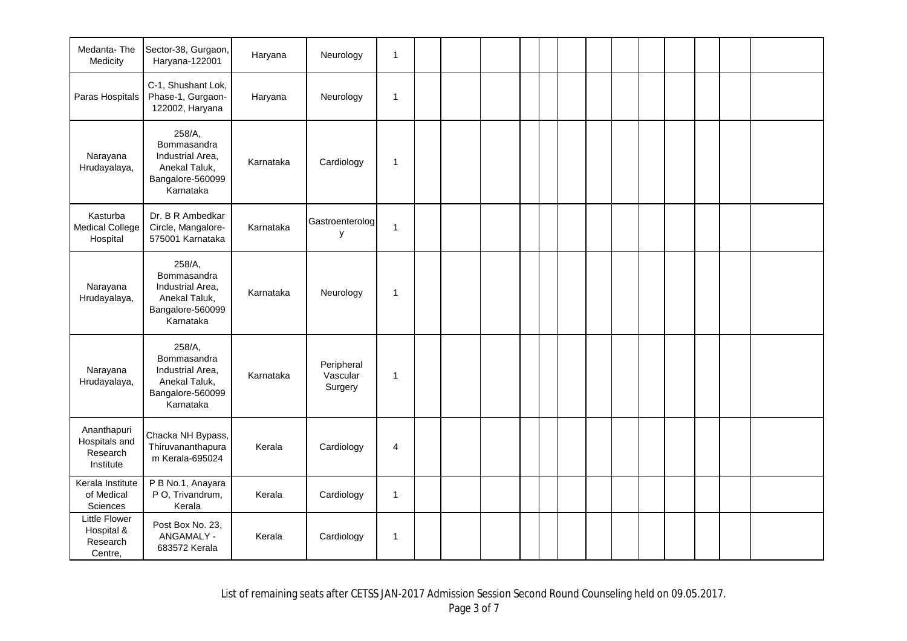| Medanta-The<br>Medicity                               | Sector-38, Gurgaon,<br>Haryana-122001                                                       | Haryana   | Neurology                         | $\mathbf{1}$ |  |  |  |  |  |  |  |
|-------------------------------------------------------|---------------------------------------------------------------------------------------------|-----------|-----------------------------------|--------------|--|--|--|--|--|--|--|
| Paras Hospitals                                       | C-1, Shushant Lok,<br>Phase-1, Gurgaon-<br>122002, Haryana                                  | Haryana   | Neurology                         | $\mathbf{1}$ |  |  |  |  |  |  |  |
| Narayana<br>Hrudayalaya,                              | 258/A,<br>Bommasandra<br>Industrial Area,<br>Anekal Taluk,<br>Bangalore-560099<br>Karnataka | Karnataka | Cardiology                        | $\mathbf{1}$ |  |  |  |  |  |  |  |
| Kasturba<br><b>Medical College</b><br>Hospital        | Dr. B R Ambedkar<br>Circle, Mangalore-<br>575001 Karnataka                                  | Karnataka | Gastroenterolog<br>у              | $\mathbf{1}$ |  |  |  |  |  |  |  |
| Narayana<br>Hrudayalaya,                              | 258/A,<br>Bommasandra<br>Industrial Area,<br>Anekal Taluk,<br>Bangalore-560099<br>Karnataka | Karnataka | Neurology                         | $\mathbf 1$  |  |  |  |  |  |  |  |
| Narayana<br>Hrudayalaya,                              | 258/A,<br>Bommasandra<br>Industrial Area,<br>Anekal Taluk,<br>Bangalore-560099<br>Karnataka | Karnataka | Peripheral<br>Vascular<br>Surgery | $\mathbf{1}$ |  |  |  |  |  |  |  |
| Ananthapuri<br>Hospitals and<br>Research<br>Institute | Chacka NH Bypass,<br>Thiruvananthapura<br>m Kerala-695024                                   | Kerala    | Cardiology                        | 4            |  |  |  |  |  |  |  |
| Kerala Institute<br>of Medical<br>Sciences            | P B No.1, Anayara<br>P O, Trivandrum,<br>Kerala                                             | Kerala    | Cardiology                        | $\mathbf{1}$ |  |  |  |  |  |  |  |
| Little Flower<br>Hospital &<br>Research<br>Centre,    | Post Box No. 23,<br>ANGAMALY -<br>683572 Kerala                                             | Kerala    | Cardiology                        | $\mathbf{1}$ |  |  |  |  |  |  |  |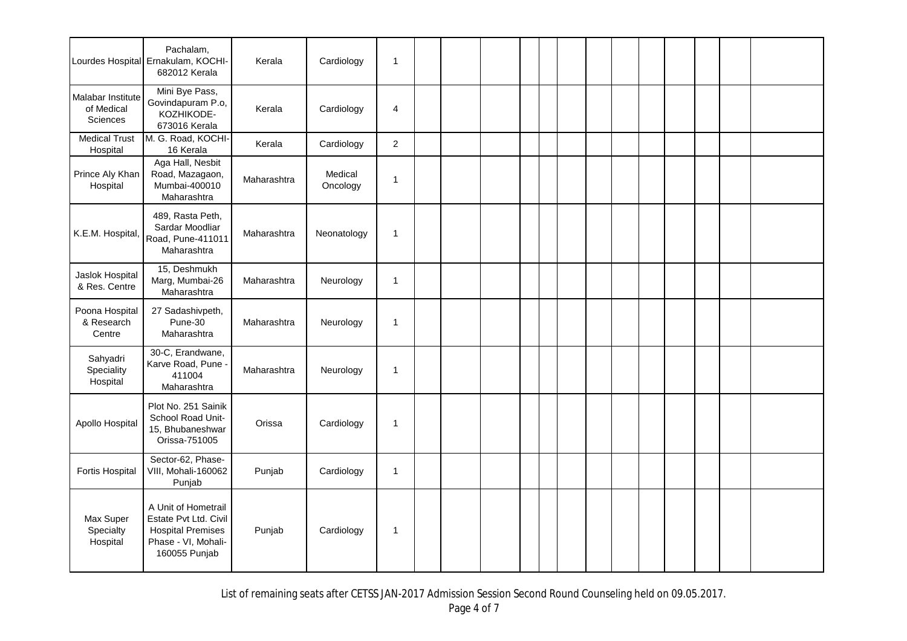|                                                    | Pachalam,<br>Lourdes Hospital Ernakulam, KOCHI-<br>682012 Kerala                                                 | Kerala      | Cardiology          | $\mathbf{1}$   |  |  |  |  |  |  |  |
|----------------------------------------------------|------------------------------------------------------------------------------------------------------------------|-------------|---------------------|----------------|--|--|--|--|--|--|--|
| Malabar Institute<br>of Medical<br><b>Sciences</b> | Mini Bye Pass,<br>Govindapuram P.o,<br>KOZHIKODE-<br>673016 Kerala                                               | Kerala      | Cardiology          | $\overline{4}$ |  |  |  |  |  |  |  |
| <b>Medical Trust</b><br>Hospital                   | M. G. Road, KOCHI-<br>16 Kerala                                                                                  | Kerala      | Cardiology          | $\overline{2}$ |  |  |  |  |  |  |  |
| Prince Aly Khan<br>Hospital                        | Aga Hall, Nesbit<br>Road, Mazagaon,<br>Mumbai-400010<br>Maharashtra                                              | Maharashtra | Medical<br>Oncology | $\mathbf{1}$   |  |  |  |  |  |  |  |
| K.E.M. Hospital,                                   | 489, Rasta Peth,<br>Sardar Moodliar<br>Road, Pune-411011<br>Maharashtra                                          | Maharashtra | Neonatology         | $\mathbf{1}$   |  |  |  |  |  |  |  |
| Jaslok Hospital<br>& Res. Centre                   | 15, Deshmukh<br>Marg, Mumbai-26<br>Maharashtra                                                                   | Maharashtra | Neurology           | $\mathbf{1}$   |  |  |  |  |  |  |  |
| Poona Hospital<br>& Research<br>Centre             | 27 Sadashivpeth,<br>Pune-30<br>Maharashtra                                                                       | Maharashtra | Neurology           | $\mathbf{1}$   |  |  |  |  |  |  |  |
| Sahyadri<br>Speciality<br>Hospital                 | 30-C, Erandwane,<br>Karve Road, Pune -<br>411004<br>Maharashtra                                                  | Maharashtra | Neurology           | $\mathbf{1}$   |  |  |  |  |  |  |  |
| Apollo Hospital                                    | Plot No. 251 Sainik<br>School Road Unit-<br>15, Bhubaneshwar<br>Orissa-751005                                    | Orissa      | Cardiology          | 1              |  |  |  |  |  |  |  |
| Fortis Hospital                                    | Sector-62, Phase-<br>VIII, Mohali-160062<br>Punjab                                                               | Punjab      | Cardiology          | $\mathbf{1}$   |  |  |  |  |  |  |  |
| Max Super<br>Specialty<br>Hospital                 | A Unit of Hometrail<br>Estate Pvt Ltd. Civil<br><b>Hospital Premises</b><br>Phase - VI, Mohali-<br>160055 Punjab | Punjab      | Cardiology          | $\mathbf{1}$   |  |  |  |  |  |  |  |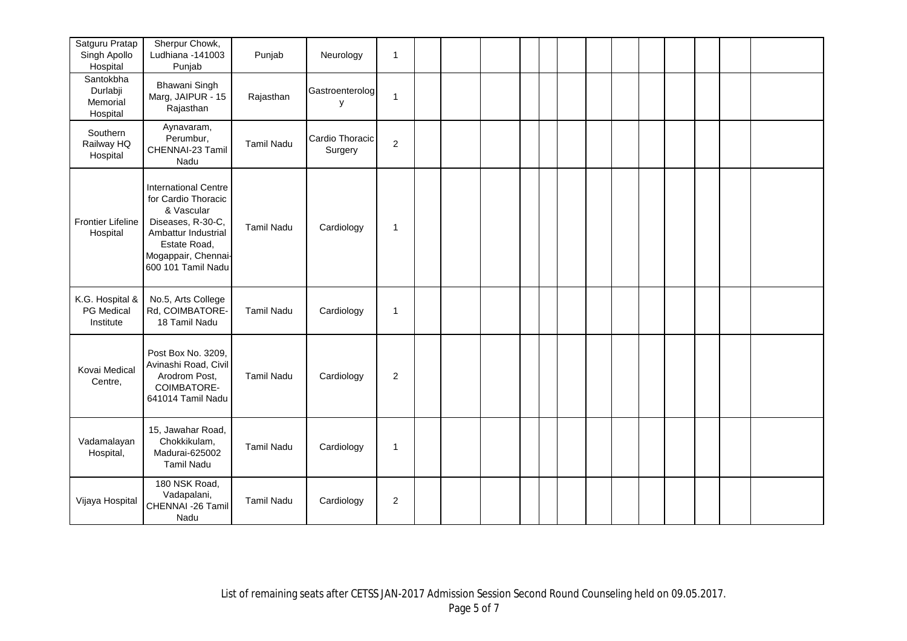| Satguru Pratap<br>Singh Apollo<br>Hospital    | Sherpur Chowk,<br>Ludhiana -141003<br>Punjab                                                                                                                              | Punjab            | Neurology                  | $\mathbf{1}$     |  |  |  |  |  |  |  |
|-----------------------------------------------|---------------------------------------------------------------------------------------------------------------------------------------------------------------------------|-------------------|----------------------------|------------------|--|--|--|--|--|--|--|
| Santokbha<br>Durlabji<br>Memorial<br>Hospital | Bhawani Singh<br>Marg, JAIPUR - 15<br>Rajasthan                                                                                                                           | Rajasthan         | Gastroenterolog<br>y       | $\mathbf{1}$     |  |  |  |  |  |  |  |
| Southern<br>Railway HQ<br>Hospital            | Aynavaram,<br>Perumbur,<br>CHENNAI-23 Tamil<br>Nadu                                                                                                                       | <b>Tamil Nadu</b> | Cardio Thoracic<br>Surgery | $\boldsymbol{2}$ |  |  |  |  |  |  |  |
| <b>Frontier Lifeline</b><br>Hospital          | <b>International Centre</b><br>for Cardio Thoracic<br>& Vascular<br>Diseases, R-30-C,<br>Ambattur Industrial<br>Estate Road,<br>Mogappair, Chennai-<br>600 101 Tamil Nadu | <b>Tamil Nadu</b> | Cardiology                 | 1                |  |  |  |  |  |  |  |
| K.G. Hospital &<br>PG Medical<br>Institute    | No.5, Arts College<br>Rd, COIMBATORE-<br>18 Tamil Nadu                                                                                                                    | <b>Tamil Nadu</b> | Cardiology                 | $\mathbf 1$      |  |  |  |  |  |  |  |
| Kovai Medical<br>Centre,                      | Post Box No. 3209,<br>Avinashi Road, Civil<br>Arodrom Post,<br>COIMBATORE-<br>641014 Tamil Nadu                                                                           | <b>Tamil Nadu</b> | Cardiology                 | $\overline{2}$   |  |  |  |  |  |  |  |
| Vadamalayan<br>Hospital,                      | 15, Jawahar Road,<br>Chokkikulam,<br>Madurai-625002<br><b>Tamil Nadu</b>                                                                                                  | <b>Tamil Nadu</b> | Cardiology                 | 1                |  |  |  |  |  |  |  |
| Vijaya Hospital                               | 180 NSK Road,<br>Vadapalani,<br>CHENNAI -26 Tamil<br>Nadu                                                                                                                 | <b>Tamil Nadu</b> | Cardiology                 | $\overline{c}$   |  |  |  |  |  |  |  |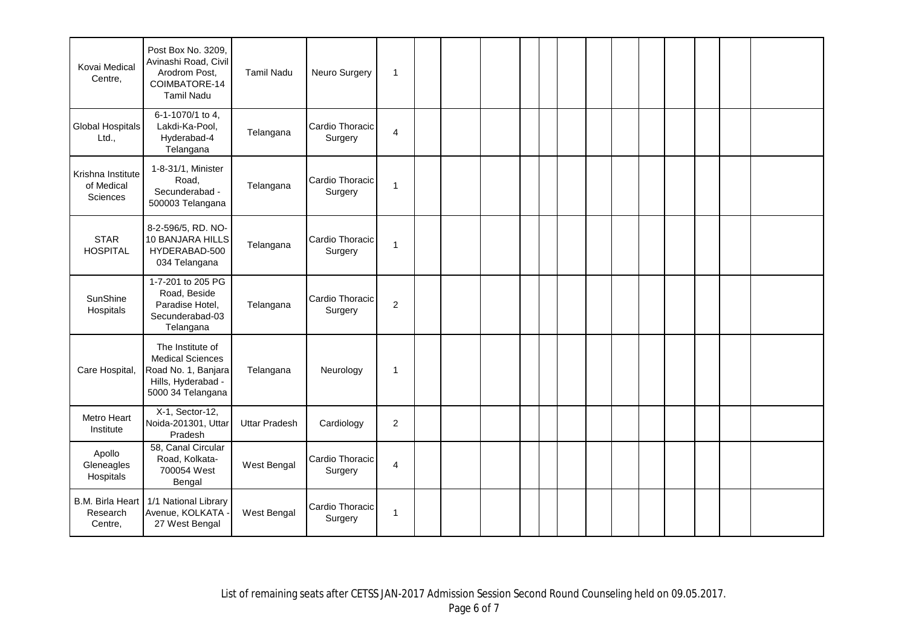| Kovai Medical<br>Centre,                    | Post Box No. 3209,<br>Avinashi Road, Civil<br>Arodrom Post,<br>COIMBATORE-14<br><b>Tamil Nadu</b>             | <b>Tamil Nadu</b>    | Neuro Surgery              | $\mathbf{1}$            |  |  |  |  |  |  |  |
|---------------------------------------------|---------------------------------------------------------------------------------------------------------------|----------------------|----------------------------|-------------------------|--|--|--|--|--|--|--|
| Global Hospitals<br>Ltd.,                   | 6-1-1070/1 to 4,<br>Lakdi-Ka-Pool,<br>Hyderabad-4<br>Telangana                                                | Telangana            | Cardio Thoracic<br>Surgery | $\overline{\mathbf{4}}$ |  |  |  |  |  |  |  |
| Krishna Institute<br>of Medical<br>Sciences | 1-8-31/1, Minister<br>Road,<br>Secunderabad -<br>500003 Telangana                                             | Telangana            | Cardio Thoracic<br>Surgery | 1                       |  |  |  |  |  |  |  |
| <b>STAR</b><br><b>HOSPITAL</b>              | 8-2-596/5, RD. NO-<br>10 BANJARA HILLS<br>HYDERABAD-500<br>034 Telangana                                      | Telangana            | Cardio Thoracic<br>Surgery | $\mathbf{1}$            |  |  |  |  |  |  |  |
| SunShine<br>Hospitals                       | 1-7-201 to 205 PG<br>Road, Beside<br>Paradise Hotel,<br>Secunderabad-03<br>Telangana                          | Telangana            | Cardio Thoracic<br>Surgery | $\overline{2}$          |  |  |  |  |  |  |  |
| Care Hospital,                              | The Institute of<br><b>Medical Sciences</b><br>Road No. 1, Banjara<br>Hills, Hyderabad -<br>5000 34 Telangana | Telangana            | Neurology                  | $\mathbf{1}$            |  |  |  |  |  |  |  |
| Metro Heart<br>Institute                    | X-1, Sector-12,<br>Noida-201301, Uttar<br>Pradesh                                                             | <b>Uttar Pradesh</b> | Cardiology                 | $\overline{2}$          |  |  |  |  |  |  |  |
| Apollo<br>Gleneagles<br>Hospitals           | 58, Canal Circular<br>Road, Kolkata-<br>700054 West<br>Bengal                                                 | West Bengal          | Cardio Thoracic<br>Surgery | 4                       |  |  |  |  |  |  |  |
| B.M. Birla Heart<br>Research<br>Centre,     | 1/1 National Library<br>Avenue, KOLKATA<br>27 West Bengal                                                     | West Bengal          | Cardio Thoracic<br>Surgery | $\mathbf{1}$            |  |  |  |  |  |  |  |